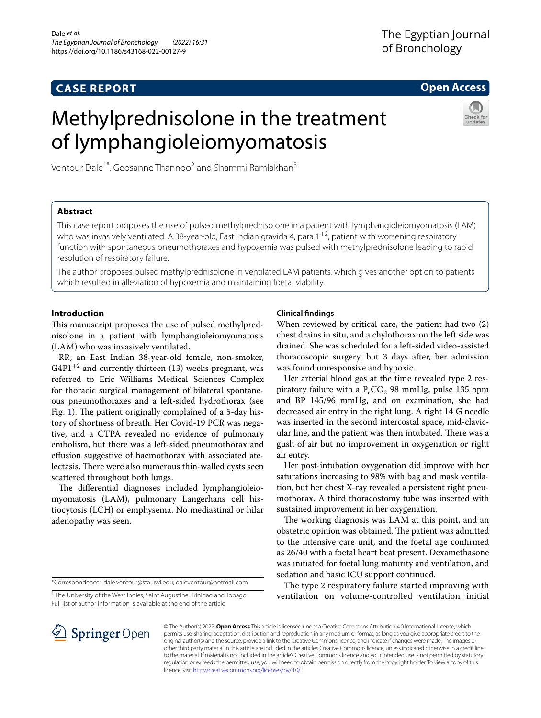# **CASE REPORT**

# **Open Access**

# Methylprednisolone in the treatment of lymphangioleiomyomatosis



Ventour Dale<sup>1\*</sup>, Geosanne Thannoo<sup>2</sup> and Shammi Ramlakhan<sup>3</sup>

# **Abstract**

This case report proposes the use of pulsed methylprednisolone in a patient with lymphangioleiomyomatosis (LAM) who was invasively ventilated. A 38-year-old, East Indian gravida 4, para 1<sup>+2</sup>, patient with worsening respiratory function with spontaneous pneumothoraxes and hypoxemia was pulsed with methylprednisolone leading to rapid resolution of respiratory failure.

The author proposes pulsed methylprednisolone in ventilated LAM patients, which gives another option to patients which resulted in alleviation of hypoxemia and maintaining foetal viability.

# **Introduction**

This manuscript proposes the use of pulsed methylprednisolone in a patient with lymphangioleiomyomatosis (LAM) who was invasively ventilated.

RR, an East Indian 38-year-old female, non-smoker,  $G4P1^{+2}$  and currently thirteen (13) weeks pregnant, was referred to Eric Williams Medical Sciences Complex for thoracic surgical management of bilateral spontaneous pneumothoraxes and a left-sided hydrothorax (see Fig. [1](#page-1-0)). The patient originally complained of a 5-day history of shortness of breath. Her Covid-19 PCR was negative, and a CTPA revealed no evidence of pulmonary embolism, but there was a left-sided pneumothorax and efusion suggestive of haemothorax with associated atelectasis. There were also numerous thin-walled cysts seen scattered throughout both lungs.

The differential diagnoses included lymphangioleiomyomatosis (LAM), pulmonary Langerhans cell histiocytosis (LCH) or emphysema. No mediastinal or hilar adenopathy was seen.

<sup>1</sup> The University of the West Indies, Saint Augustine, Trinidad and Tobago Full list of author information is available at the end of the article

# **Clinical fndings**

When reviewed by critical care, the patient had two (2) chest drains in situ, and a chylothorax on the left side was drained. She was scheduled for a left-sided video-assisted thoracoscopic surgery, but 3 days after, her admission was found unresponsive and hypoxic.

Her arterial blood gas at the time revealed type 2 respiratory failure with a  $P_{1}CO_{2}$  98 mmHg, pulse 135 bpm and BP 145/96 mmHg, and on examination, she had decreased air entry in the right lung. A right 14 G needle was inserted in the second intercostal space, mid-clavicular line, and the patient was then intubated. There was a gush of air but no improvement in oxygenation or right air entry.

Her post-intubation oxygenation did improve with her saturations increasing to 98% with bag and mask ventilation, but her chest X-ray revealed a persistent right pneumothorax. A third thoracostomy tube was inserted with sustained improvement in her oxygenation.

The working diagnosis was LAM at this point, and an obstetric opinion was obtained. The patient was admitted to the intensive care unit, and the foetal age confrmed as 26/40 with a foetal heart beat present. Dexamethasone was initiated for foetal lung maturity and ventilation, and sedation and basic ICU support continued.

The type 2 respiratory failure started improving with ventilation on volume-controlled ventilation initial



© The Author(s) 2022. **Open Access** This article is licensed under a Creative Commons Attribution 4.0 International License, which permits use, sharing, adaptation, distribution and reproduction in any medium or format, as long as you give appropriate credit to the original author(s) and the source, provide a link to the Creative Commons licence, and indicate if changes were made. The images or other third party material in this article are included in the article's Creative Commons licence, unless indicated otherwise in a credit line to the material. If material is not included in the article's Creative Commons licence and your intended use is not permitted by statutory regulation or exceeds the permitted use, you will need to obtain permission directly from the copyright holder. To view a copy of this licence, visit [http://creativecommons.org/licenses/by/4.0/.](http://creativecommons.org/licenses/by/4.0/)

<sup>\*</sup>Correspondence: dale.ventour@sta.uwi.edu; daleventour@hotmail.com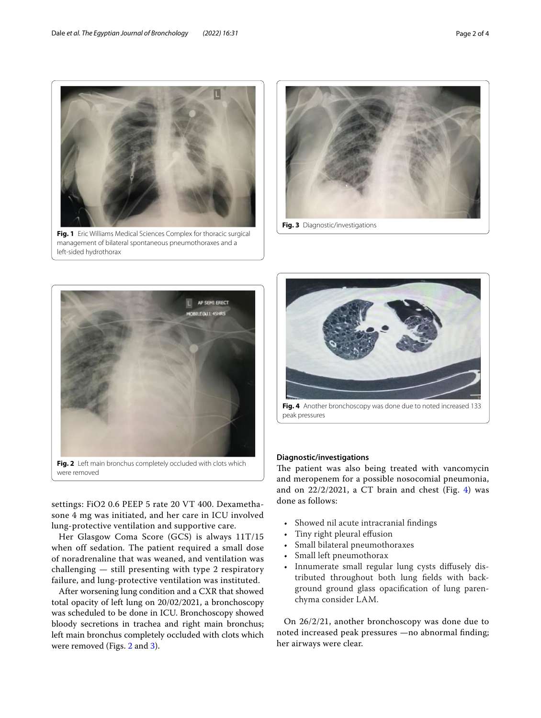

<span id="page-1-0"></span>**Fig. 1** Eric Williams Medical Sciences Complex for thoracic surgical management of bilateral spontaneous pneumothoraxes and a left-sided hydrothorax





<span id="page-1-1"></span>settings: FiO2 0.6 PEEP 5 rate 20 VT 400. Dexamethasone 4 mg was initiated, and her care in ICU involved lung-protective ventilation and supportive care.

Her Glasgow Coma Score (GCS) is always 11T/15 when off sedation. The patient required a small dose of noradrenaline that was weaned, and ventilation was challenging — still presenting with type 2 respiratory failure, and lung-protective ventilation was instituted.

After worsening lung condition and a CXR that showed total opacity of left lung on 20/02/2021, a bronchoscopy was scheduled to be done in ICU. Bronchoscopy showed bloody secretions in trachea and right main bronchus; left main bronchus completely occluded with clots which were removed (Figs. [2](#page-1-1) and [3\)](#page-1-2).

<span id="page-1-2"></span>

**Fig. 4** Another bronchoscopy was done due to noted increased 133 peak pressures

# <span id="page-1-3"></span>**Diagnostic/investigations**

The patient was also being treated with vancomycin and meropenem for a possible nosocomial pneumonia, and on  $22/2/2021$ , a CT brain and chest (Fig. [4](#page-1-3)) was done as follows:

- Showed nil acute intracranial fndings
- Tiny right pleural effusion
- Small bilateral pneumothoraxes
- Small left pneumothorax
- Innumerate small regular lung cysts difusely distributed throughout both lung felds with background ground glass opacifcation of lung parenchyma consider LAM.

On 26/2/21, another bronchoscopy was done due to noted increased peak pressures —no abnormal fnding; her airways were clear.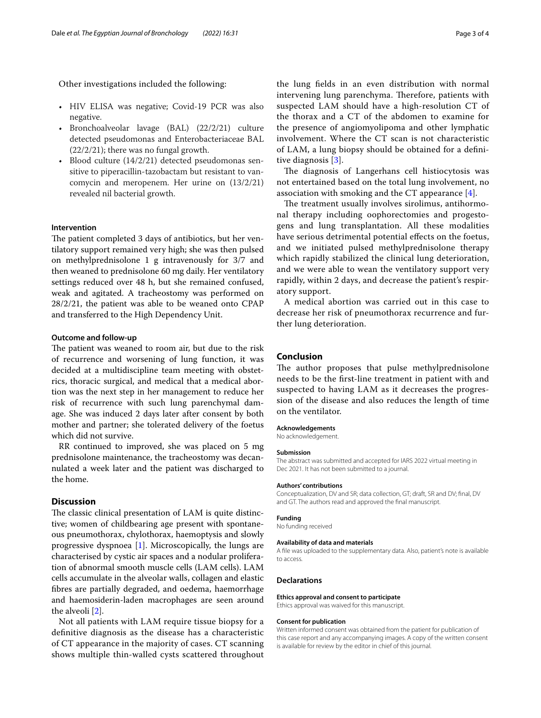## Other investigations included the following:

- HIV ELISA was negative; Covid-19 PCR was also negative.
- Bronchoalveolar lavage (BAL) (22/2/21) culture detected pseudomonas and Enterobacteriaceae BAL (22/2/21); there was no fungal growth.
- Blood culture (14/2/21) detected pseudomonas sensitive to piperacillin-tazobactam but resistant to vancomycin and meropenem. Her urine on (13/2/21) revealed nil bacterial growth.

# **Intervention**

The patient completed 3 days of antibiotics, but her ventilatory support remained very high; she was then pulsed on methylprednisolone 1 g intravenously for 3/7 and then weaned to prednisolone 60 mg daily. Her ventilatory settings reduced over 48 h, but she remained confused, weak and agitated. A tracheostomy was performed on 28/2/21, the patient was able to be weaned onto CPAP and transferred to the High Dependency Unit.

#### **Outcome and follow‑up**

The patient was weaned to room air, but due to the risk of recurrence and worsening of lung function, it was decided at a multidiscipline team meeting with obstetrics, thoracic surgical, and medical that a medical abortion was the next step in her management to reduce her risk of recurrence with such lung parenchymal damage. She was induced 2 days later after consent by both mother and partner; she tolerated delivery of the foetus which did not survive.

RR continued to improved, she was placed on 5 mg prednisolone maintenance, the tracheostomy was decannulated a week later and the patient was discharged to the home.

# **Discussion**

The classic clinical presentation of LAM is quite distinctive; women of childbearing age present with spontaneous pneumothorax, chylothorax, haemoptysis and slowly progressive dyspnoea [[1\]](#page-3-0). Microscopically, the lungs are characterised by cystic air spaces and a nodular proliferation of abnormal smooth muscle cells (LAM cells). LAM cells accumulate in the alveolar walls, collagen and elastic fbres are partially degraded, and oedema, haemorrhage and haemosiderin-laden macrophages are seen around the alveoli [\[2\]](#page-3-1).

Not all patients with LAM require tissue biopsy for a defnitive diagnosis as the disease has a characteristic of CT appearance in the majority of cases. CT scanning shows multiple thin-walled cysts scattered throughout

the lung felds in an even distribution with normal intervening lung parenchyma. Therefore, patients with suspected LAM should have a high-resolution CT of the thorax and a CT of the abdomen to examine for the presence of angiomyolipoma and other lymphatic involvement. Where the CT scan is not characteristic of LAM, a lung biopsy should be obtained for a defnitive diagnosis [[3\]](#page-3-2).

The diagnosis of Langerhans cell histiocytosis was not entertained based on the total lung involvement, no association with smoking and the CT appearance [\[4](#page-3-3)].

The treatment usually involves sirolimus, antihormonal therapy including oophorectomies and progestogens and lung transplantation. All these modalities have serious detrimental potential effects on the foetus, and we initiated pulsed methylprednisolone therapy which rapidly stabilized the clinical lung deterioration, and we were able to wean the ventilatory support very rapidly, within 2 days, and decrease the patient's respiratory support.

A medical abortion was carried out in this case to decrease her risk of pneumothorax recurrence and further lung deterioration.

# **Conclusion**

The author proposes that pulse methylprednisolone needs to be the frst-line treatment in patient with and suspected to having LAM as it decreases the progression of the disease and also reduces the length of time on the ventilator.

## **Acknowledgements**

No acknowledgement.

#### **Submission**

The abstract was submitted and accepted for IARS 2022 virtual meeting in Dec 2021. It has not been submitted to a journal.

#### **Authors' contributions**

Conceptualization, DV and SR; data collection, GT; draft, SR and DV; fnal, DV and GT. The authors read and approved the fnal manuscript.

# **Funding**

No funding received

#### **Availability of data and materials**

A fle was uploaded to the supplementary data. Also, patient's note is available to access.

#### **Declarations**

#### **Ethics approval and consent to participate**

Ethics approval was waived for this manuscript.

#### **Consent for publication**

Written informed consent was obtained from the patient for publication of this case report and any accompanying images. A copy of the written consent is available for review by the editor in chief of this journal.